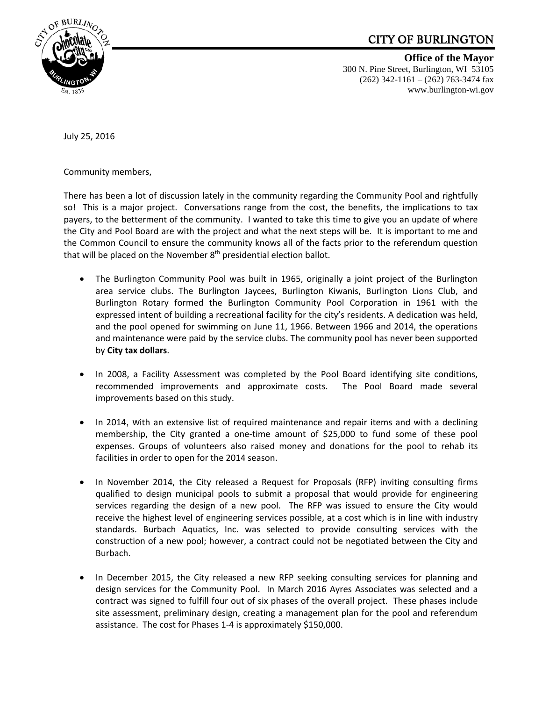## CITY OF BURLINGTON



**Office of the Mayor** 300 N. Pine Street, Burlington, WI 53105 (262) 342-1161 – (262) 763-3474 fax www.burlington-wi.gov

July 25, 2016

Community members,

There has been a lot of discussion lately in the community regarding the Community Pool and rightfully so! This is a major project. Conversations range from the cost, the benefits, the implications to tax payers, to the betterment of the community. I wanted to take this time to give you an update of where the City and Pool Board are with the project and what the next steps will be. It is important to me and the Common Council to ensure the community knows all of the facts prior to the referendum question that will be placed on the November 8<sup>th</sup> presidential election ballot.

- The Burlington Community Pool was built in 1965, originally a joint project of the Burlington area service clubs. The Burlington Jaycees, Burlington Kiwanis, Burlington Lions Club, and Burlington Rotary formed the Burlington Community Pool Corporation in 1961 with the expressed intent of building a recreational facility for the city's residents. A dedication was held, and the pool opened for swimming on June 11, 1966. Between 1966 and 2014, the operations and maintenance were paid by the service clubs. The community pool has never been supported by **City tax dollars**.
- In 2008, a Facility Assessment was completed by the Pool Board identifying site conditions, recommended improvements and approximate costs. The Pool Board made several improvements based on this study.
- In 2014, with an extensive list of required maintenance and repair items and with a declining membership, the City granted a one-time amount of \$25,000 to fund some of these pool expenses. Groups of volunteers also raised money and donations for the pool to rehab its facilities in order to open for the 2014 season.
- In November 2014, the City released a Request for Proposals (RFP) inviting consulting firms qualified to design municipal pools to submit a proposal that would provide for engineering services regarding the design of a new pool. The RFP was issued to ensure the City would receive the highest level of engineering services possible, at a cost which is in line with industry standards. Burbach Aquatics, Inc. was selected to provide consulting services with the construction of a new pool; however, a contract could not be negotiated between the City and Burbach.
- In December 2015, the City released a new RFP seeking consulting services for planning and design services for the Community Pool. In March 2016 Ayres Associates was selected and a contract was signed to fulfill four out of six phases of the overall project. These phases include site assessment, preliminary design, creating a management plan for the pool and referendum assistance. The cost for Phases 1‐4 is approximately \$150,000.